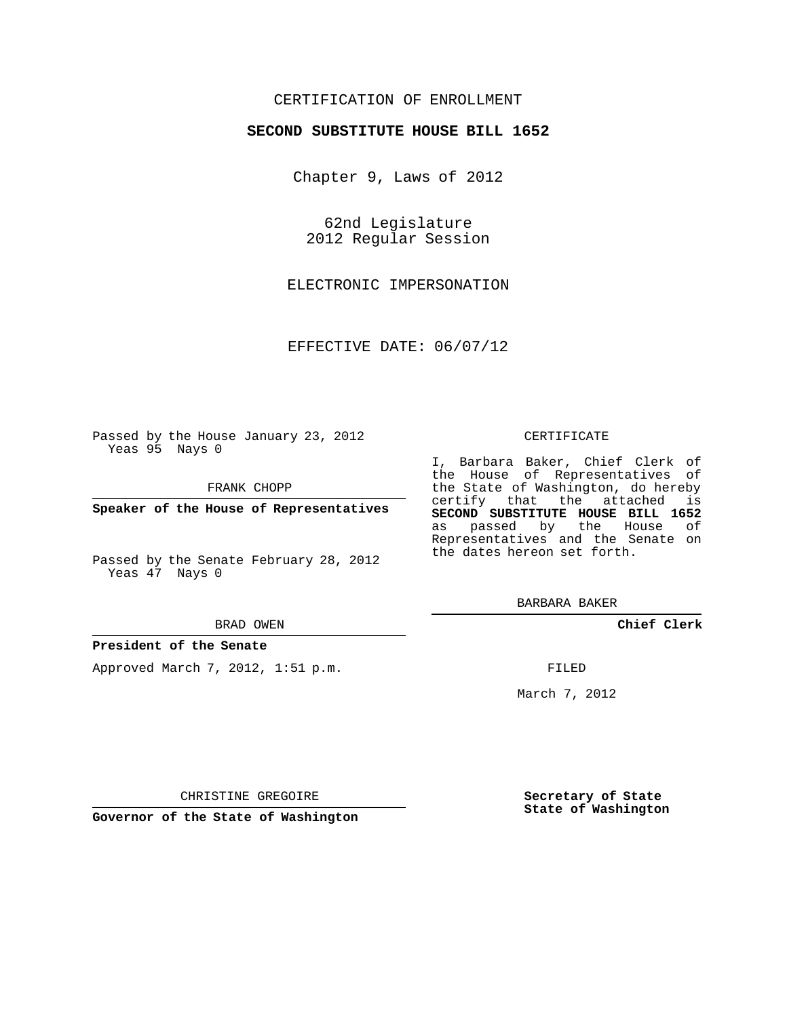## CERTIFICATION OF ENROLLMENT

### **SECOND SUBSTITUTE HOUSE BILL 1652**

Chapter 9, Laws of 2012

62nd Legislature 2012 Regular Session

ELECTRONIC IMPERSONATION

EFFECTIVE DATE: 06/07/12

Passed by the House January 23, 2012 Yeas 95 Nays 0

FRANK CHOPP

**Speaker of the House of Representatives**

Passed by the Senate February 28, 2012 Yeas 47 Nays 0

#### BRAD OWEN

#### **President of the Senate**

Approved March 7, 2012, 1:51 p.m.

#### CERTIFICATE

I, Barbara Baker, Chief Clerk of the House of Representatives of the State of Washington, do hereby certify that the attached is **SECOND SUBSTITUTE HOUSE BILL 1652** as passed by the House of Representatives and the Senate on the dates hereon set forth.

BARBARA BAKER

**Chief Clerk**

FILED

March 7, 2012

CHRISTINE GREGOIRE

**Governor of the State of Washington**

**Secretary of State State of Washington**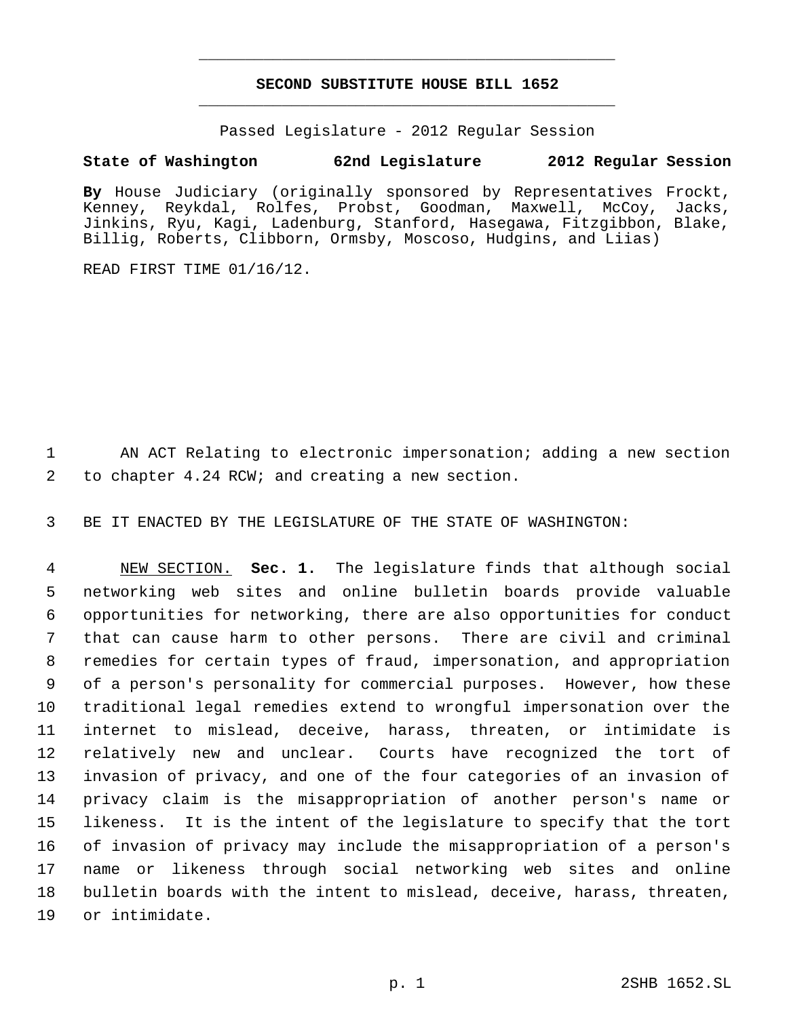# **SECOND SUBSTITUTE HOUSE BILL 1652** \_\_\_\_\_\_\_\_\_\_\_\_\_\_\_\_\_\_\_\_\_\_\_\_\_\_\_\_\_\_\_\_\_\_\_\_\_\_\_\_\_\_\_\_\_

\_\_\_\_\_\_\_\_\_\_\_\_\_\_\_\_\_\_\_\_\_\_\_\_\_\_\_\_\_\_\_\_\_\_\_\_\_\_\_\_\_\_\_\_\_

Passed Legislature - 2012 Regular Session

## **State of Washington 62nd Legislature 2012 Regular Session**

**By** House Judiciary (originally sponsored by Representatives Frockt, Kenney, Reykdal, Rolfes, Probst, Goodman, Maxwell, McCoy, Jacks, Jinkins, Ryu, Kagi, Ladenburg, Stanford, Hasegawa, Fitzgibbon, Blake, Billig, Roberts, Clibborn, Ormsby, Moscoso, Hudgins, and Liias)

READ FIRST TIME 01/16/12.

 AN ACT Relating to electronic impersonation; adding a new section to chapter 4.24 RCW; and creating a new section.

BE IT ENACTED BY THE LEGISLATURE OF THE STATE OF WASHINGTON:

 NEW SECTION. **Sec. 1.** The legislature finds that although social networking web sites and online bulletin boards provide valuable opportunities for networking, there are also opportunities for conduct that can cause harm to other persons. There are civil and criminal remedies for certain types of fraud, impersonation, and appropriation of a person's personality for commercial purposes. However, how these traditional legal remedies extend to wrongful impersonation over the internet to mislead, deceive, harass, threaten, or intimidate is relatively new and unclear. Courts have recognized the tort of invasion of privacy, and one of the four categories of an invasion of privacy claim is the misappropriation of another person's name or likeness. It is the intent of the legislature to specify that the tort of invasion of privacy may include the misappropriation of a person's name or likeness through social networking web sites and online bulletin boards with the intent to mislead, deceive, harass, threaten, or intimidate.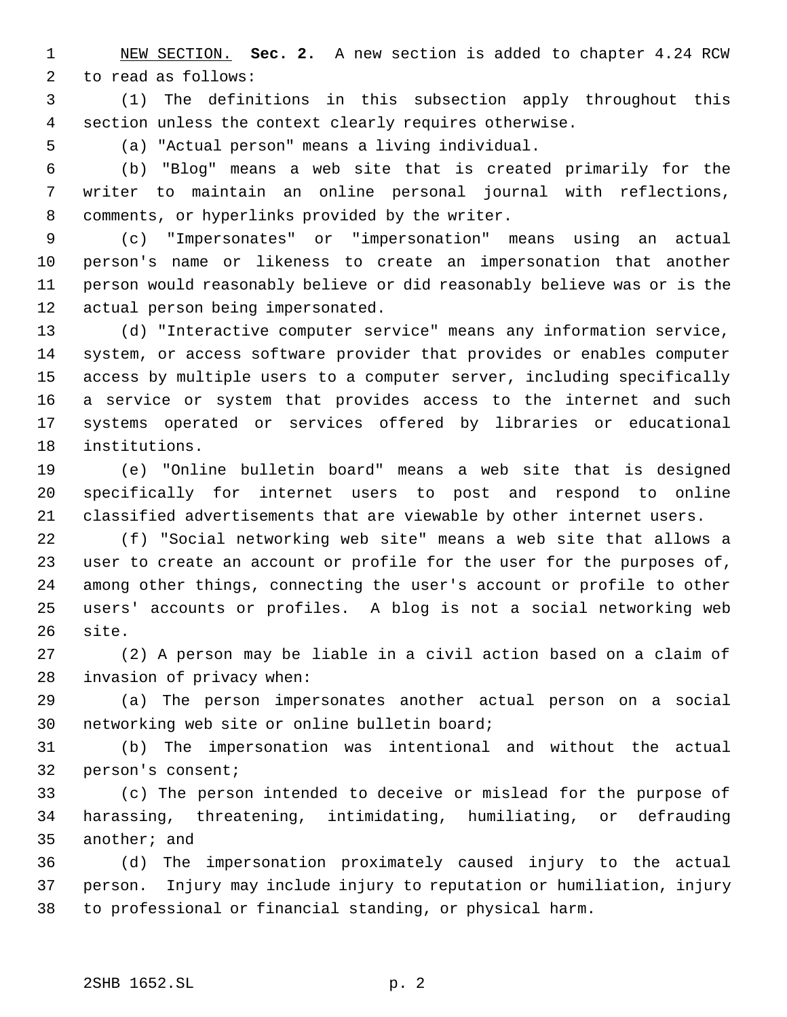NEW SECTION. **Sec. 2.** A new section is added to chapter 4.24 RCW to read as follows:

 (1) The definitions in this subsection apply throughout this section unless the context clearly requires otherwise.

(a) "Actual person" means a living individual.

 (b) "Blog" means a web site that is created primarily for the writer to maintain an online personal journal with reflections, comments, or hyperlinks provided by the writer.

 (c) "Impersonates" or "impersonation" means using an actual person's name or likeness to create an impersonation that another person would reasonably believe or did reasonably believe was or is the actual person being impersonated.

 (d) "Interactive computer service" means any information service, system, or access software provider that provides or enables computer access by multiple users to a computer server, including specifically a service or system that provides access to the internet and such systems operated or services offered by libraries or educational institutions.

 (e) "Online bulletin board" means a web site that is designed specifically for internet users to post and respond to online classified advertisements that are viewable by other internet users.

 (f) "Social networking web site" means a web site that allows a user to create an account or profile for the user for the purposes of, among other things, connecting the user's account or profile to other users' accounts or profiles. A blog is not a social networking web site.

 (2) A person may be liable in a civil action based on a claim of invasion of privacy when:

 (a) The person impersonates another actual person on a social networking web site or online bulletin board;

 (b) The impersonation was intentional and without the actual person's consent;

 (c) The person intended to deceive or mislead for the purpose of harassing, threatening, intimidating, humiliating, or defrauding another; and

 (d) The impersonation proximately caused injury to the actual person. Injury may include injury to reputation or humiliation, injury to professional or financial standing, or physical harm.